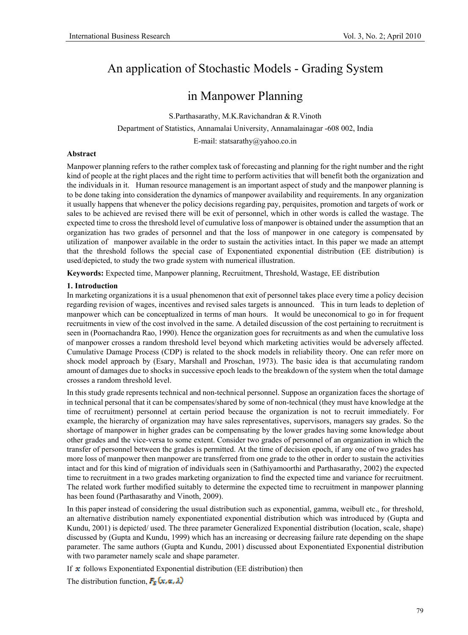# An application of Stochastic Models - Grading System

# in Manpower Planning

S.Parthasarathy, M.K.Ravichandran & R.Vinoth

Department of Statistics, Annamalai University, Annamalainagar -608 002, India

E-mail: statsarathy@yahoo.co.in

#### **Abstract**

Manpower planning refers to the rather complex task of forecasting and planning for the right number and the right kind of people at the right places and the right time to perform activities that will benefit both the organization and the individuals in it. Human resource management is an important aspect of study and the manpower planning is to be done taking into consideration the dynamics of manpower availability and requirements. In any organization it usually happens that whenever the policy decisions regarding pay, perquisites, promotion and targets of work or sales to be achieved are revised there will be exit of personnel, which in other words is called the wastage. The expected time to cross the threshold level of cumulative loss of manpower is obtained under the assumption that an organization has two grades of personnel and that the loss of manpower in one category is compensated by utilization of manpower available in the order to sustain the activities intact. In this paper we made an attempt that the threshold follows the special case of Exponentiated exponential distribution (EE distribution) is used/depicted, to study the two grade system with numerical illustration.

**Keywords:** Expected time, Manpower planning, Recruitment, Threshold, Wastage, EE distribution

#### **1. Introduction**

In marketing organizations it is a usual phenomenon that exit of personnel takes place every time a policy decision regarding revision of wages, incentives and revised sales targets is announced. This in turn leads to depletion of manpower which can be conceptualized in terms of man hours. It would be uneconomical to go in for frequent recruitments in view of the cost involved in the same. A detailed discussion of the cost pertaining to recruitment is seen in (Poornachandra Rao, 1990). Hence the organization goes for recruitments as and when the cumulative loss of manpower crosses a random threshold level beyond which marketing activities would be adversely affected. Cumulative Damage Process (CDP) is related to the shock models in reliability theory. One can refer more on shock model approach by (Esary, Marshall and Proschan, 1973). The basic idea is that accumulating random amount of damages due to shocks in successive epoch leads to the breakdown of the system when the total damage crosses a random threshold level.

In this study grade represents technical and non-technical personnel. Suppose an organization faces the shortage of in technical personal that it can be compensates/shared by some of non-technical (they must have knowledge at the time of recruitment) personnel at certain period because the organization is not to recruit immediately. For example, the hierarchy of organization may have sales representatives, supervisors, managers say grades. So the shortage of manpower in higher grades can be compensating by the lower grades having some knowledge about other grades and the vice-versa to some extent. Consider two grades of personnel of an organization in which the transfer of personnel between the grades is permitted. At the time of decision epoch, if any one of two grades has more loss of manpower then manpower are transferred from one grade to the other in order to sustain the activities intact and for this kind of migration of individuals seen in (Sathiyamoorthi and Parthasarathy, 2002) the expected time to recruitment in a two grades marketing organization to find the expected time and variance for recruitment. The related work further modified suitably to determine the expected time to recruitment in manpower planning has been found (Parthasarathy and Vinoth, 2009).

In this paper instead of considering the usual distribution such as exponential, gamma, weibull etc., for threshold, an alternative distribution namely exponentiated exponential distribution which was introduced by (Gupta and Kundu, 2001) is depicted/ used. The three parameter Generalized Exponential distribution (location, scale, shape) discussed by (Gupta and Kundu, 1999) which has an increasing or decreasing failure rate depending on the shape parameter. The same authors (Gupta and Kundu, 2001) discussed about Exponentiated Exponential distribution with two parameter namely scale and shape parameter.

If  $\bm{\pi}$  follows Exponentiated Exponential distribution (EE distribution) then

The distribution function,  $F_{\overline{a}}(x, \alpha, \lambda)$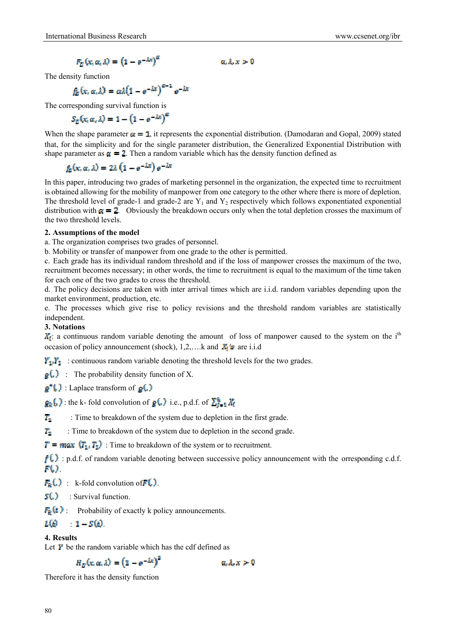$$
F_{\mathcal{C}}(x,\alpha,\lambda) = (1 - e^{-\lambda x})^{\alpha}
$$

The density function

$$
f_{\mathcal{C}}^{\mathcal{L}}(x,\alpha,\lambda)=\alpha\lambda(1-e^{-\lambda x})^{\alpha-1}e^{-\lambda x}
$$

The corresponding survival function is

$$
S_E(x, \alpha, \lambda) = 1 - \left(1 - e^{-\lambda x}\right)^{\alpha}
$$

When the shape parameter  $\alpha = 1$ , it represents the exponential distribution. (Damodaran and Gopal, 2009) stated that, for the simplicity and for the single parameter distribution, the Generalized Exponential Distribution with shape parameter as  $\alpha = 2$ . Then a random variable which has the density function defined as

 $\alpha \lambda x > 0$ 

$$
f_{\alpha}(x, \alpha, \lambda) = 2\lambda \left(1 - e^{-\lambda x}\right) e^{-\lambda x}
$$

In this paper, introducing two grades of marketing personnel in the organization, the expected time to recruitment is obtained allowing for the mobility of manpower from one category to the other where there is more of depletion. The threshold level of grade-1 and grade-2 are  $Y_1$  and  $Y_2$  respectively which follows exponentiated exponential distribution with  $\alpha = 2$ . Obviously the breakdown occurs only when the total depletion crosses the maximum of the two threshold levels.

#### **2. Assumptions of the model**

a. The organization comprises two grades of personnel.

b. Mobility or transfer of manpower from one grade to the other is permitted.

c. Each grade has its individual random threshold and if the loss of manpower crosses the maximum of the two, recruitment becomes necessary; in other words, the time to recruitment is equal to the maximum of the time taken for each one of the two grades to cross the threshold.

d. The policy decisions are taken with inter arrival times which are i.i.d. random variables depending upon the market environment, production, etc.

e. The processes which give rise to policy revisions and the threshold random variables are statistically independent.

### **3. Notations**

 $X_i$ : a continuous random variable denoting the amount of loss of manpower caused to the system on the i<sup>th</sup> occasion of policy announcement (shock),  $1,2,...$  k and  $\mathbf{X}_i$  is are i.i.d

 $Y_1, Y_2$ : continuous random variable denoting the threshold levels for the two grades.

 $\mathbf{g}(\cdot)$ : The probability density function of X.

 $\mathfrak{g}^{\bullet}(\cdot)$ : Laplace transform of  $\mathfrak{g}(\cdot)$ 

 $g_k$ ,  $\}$ : the k- fold convolution of  $g(\cdot)$  i.e., p.d.f. of  $\sum_{k=1}^{k} \chi_k$ 

 $\overline{T_1}$  : Time to breakdown of the system due to depletion in the first grade.

 $T_2$ : Time to breakdown of the system due to depletion in the second grade.

 $T = max$   $(T_1, T_2)$ : Time to breakdown of the system or to recruitment.

 $f(\cdot)$ : p.d.f. of random variable denoting between successive policy announcement with the orresponding c.d.f. FO.

 $F_{\mathbf{E}}(\cdot)$ : k-fold convolution of  $F(\cdot)$ .

**s(c)** : Survival function.

 $F_{\mathbb{R}}(t)$  Probability of exactly k policy announcements.

$$
L(\epsilon) = -1 - S(\epsilon)
$$

### **4. Results**

Let  $\boldsymbol{V}$  be the random variable which has the cdf defined as

$$
H_E(x, \alpha, \lambda) = (1 - e^{-\lambda x})^2 \qquad \alpha, \lambda, x > 0
$$

Therefore it has the density function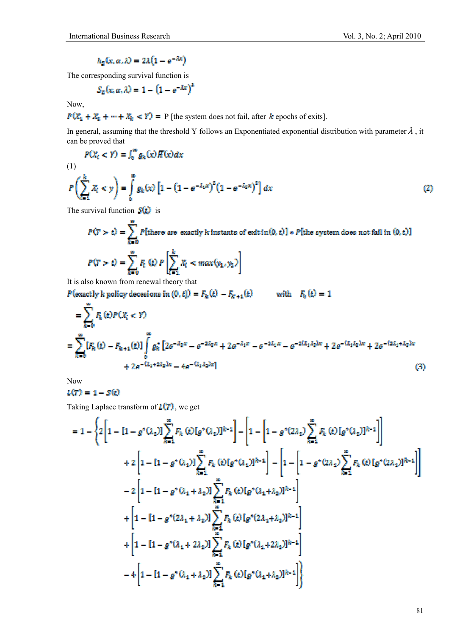$$
h_{\overline{G}}(x,\alpha,\lambda)=2\lambda(1-e^{-\lambda x})
$$

The corresponding survival function is

$$
S_E(x, \alpha, \lambda) = 1 - (1 - e^{-\lambda x})^2
$$

Now,

$$
P(X_1 + X_2 + \dots + X_k < Y) = P \text{ [the system does not fail, after } k \text{ epochs of exits]}.
$$

In general, assuming that the threshold Y follows an Exponentiated exponential distribution with parameter  $\lambda$ , it can be proved that

$$
P(X_t < Y) = \int_0^\infty g_k(x) H(x) dx
$$

$$
(1)
$$

$$
P\left(\sum_{i=1}^{k} X_i < y\right) = \int_{0}^{\infty} g_k(x) \left[1 - \left(1 - e^{-\lambda_1 x}\right)^2 \left(1 - e^{-\lambda_2 x}\right)^2\right] dx \tag{2}
$$

The survival function  $S(t)$  is

$$
P(T > t) = \sum_{k=0}^{m} P[\text{there are exactly k instants of exit } (0, t)] * P[\text{the system does not fall in } (0, t)]
$$
  

$$
P(T > t) = \sum_{k=0}^{m} F_t(t) P\left[\sum_{i=1}^{k} X_i < max(y_1, y_2)\right]
$$

It is also known from renewal theory that

 $P(\text{exactly k policy decisions in } (0,t]) = F_k(t) - F_{k'+1}(t)$ with  $F_b(t) = 1$ œ

$$
= \sum_{k=0}^{\infty} F_k(\epsilon) P(X_i < Y)
$$
  
= 
$$
\sum_{k=0}^{\infty} [F_k(\epsilon) - F_{k+1}(\epsilon)] \int_0^{\infty} g_k^* [2e^{-\lambda_2 x} - e^{-2\lambda_2 x} + 2e^{-\lambda_1 x} - e^{-2\lambda_1 x} - e^{-2(\lambda_1 \lambda_2)x} + 2e^{-(\lambda_1 \lambda_2)x} + 2e^{-(2\lambda_1 + \lambda_2)x} + 2e^{-(\lambda_1 + \lambda_2)x}
$$
  
+ 
$$
2e^{-(\lambda_1 + 2\lambda_2)x} - 4e^{-(\lambda_1 \lambda_2)x}
$$
 (3)

Now

$$
L(T) = 1 - S(t)
$$

Taking Laplace transform of  $L(T)$ , we get

$$
= 1 - \left\{ 2 \left[ 1 - \left[ 1 - g^*(\lambda_2) \right] \sum_{k=1}^{\infty} F_k \left( k \right) [g^*(\lambda_2)]^{k-1} \right] - \left[ 1 - \left[ 1 - g^*(2\lambda_2) \sum_{k=1}^{\infty} F_k \left( k \right) [g^*(\lambda_2)]^{k-1} \right] \right] \right\}
$$
  
+ 
$$
2 \left[ 1 - \left[ 1 - g^*(\lambda_1) \right] \sum_{k=1}^{\infty} F_k \left( k \right] [g^*(\lambda_1)]^{k-1} \right] - \left[ 1 - \left[ 1 - g^*(2\lambda_1) \sum_{k=1}^{\infty} F_k \left( k \right) [g^*(2\lambda_1)]^{k-1} \right] \right]
$$
  
- 
$$
2 \left[ 1 - \left[ 1 - g^*(\lambda_1 + \lambda_2) \right] \sum_{k=1}^{\infty} F_k \left( k \right) [g^*(\lambda_1 + \lambda_2)]^{k-1} \right]
$$
  
+ 
$$
\left[ 1 - \left[ 1 - g^*(2\lambda_1 + \lambda_2) \right] \sum_{k=1}^{\infty} F_k \left( k \right) [g^*(2\lambda_1 + \lambda_2)]^{k-1} \right]
$$
  
+ 
$$
\left[ 1 - \left[ 1 - g^*(\lambda_1 + 2\lambda_2) \right] \sum_{k=1}^{\infty} F_k \left( k \right) [g^*(\lambda_1 + 2\lambda_2)]^{k-1} \right]
$$
  
- 
$$
4 \left[ 1 - \left[ 1 - g^*(\lambda_1 + \lambda_2) \right] \sum_{k=1}^{\infty} F_k \left( k \right) [g^*(\lambda_1 + \lambda_2)]^{k-1} \right]
$$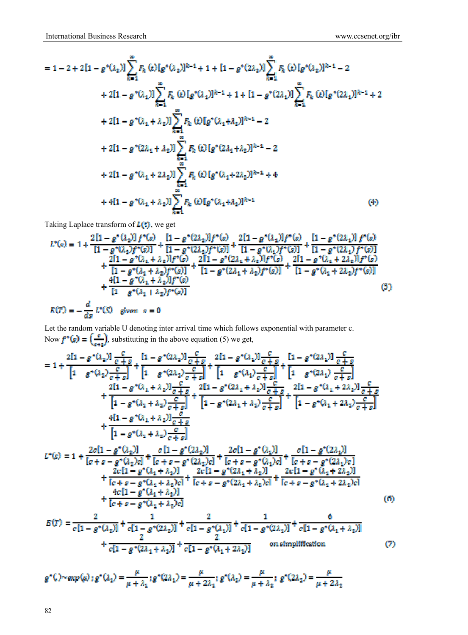$$
= 1 - 2 + 2[1 - g^*(\lambda_2)] \sum_{k=1}^{\infty} F_k(k)[g^*(\lambda_2)]^{k-1} + 1 + [1 - g^*(2\lambda_2)] \sum_{k=1}^{\infty} F_k(k)[g^*(\lambda_2)]^{k-1} - 2
$$
  
+ 2[1 - g^\*(\lambda\_1)] \sum\_{k=1}^{\infty} F\_k(k)[g^\*(\lambda\_1)]^{k-1} + 1 + [1 - g^\*(2\lambda\_1)] \sum\_{k=1}^{\infty} F\_k(k)[g^\*(2\lambda\_1)]^{k-1} + 2  
+ 2[1 - g^\*(\lambda\_1 + \lambda\_2)] \sum\_{k=1}^{\infty} F\_k(k)[g^\*(\lambda\_1 + \lambda\_2)]^{k-1} - 2  
+ 2[1 - g^\*(2\lambda\_1 + \lambda\_2)] \sum\_{k=1}^{\infty} F\_k(k)[g^\*(2\lambda\_1 + \lambda\_2)]^{k-1} - 2  
+ 2[1 - g^\*(\lambda\_1 + 2\lambda\_2)] \sum\_{k=1}^{\infty} F\_k(k)[g^\*(\lambda\_1 + 2\lambda\_2)]^{k-1} + 4  
+ 4[1 - g^\*(\lambda\_1 + \lambda\_2)] \sum\_{k=1}^{\infty} F\_k(k)[g^\*(\lambda\_1 + \lambda\_2)]^{k-1} (4)

Taking Laplace transform of  $L($ .), we get

$$
L^{*}(x) = 1 + \frac{2[1 - g^{*}(\lambda_{2})] f^{*}(\sigma)}{[1 - g^{*}(\lambda_{2})f^{*}(\sigma)]} + \frac{[1 - g^{*}(\lambda_{2})] f^{*}(\sigma)}{[1 - g^{*}(\lambda_{2})f^{*}(\sigma)]} + \frac{2[1 - g^{*}(\lambda_{1})] f^{*}(\sigma)}{[1 - g^{*}(\lambda_{1})f^{*}(\sigma)]} + \frac{2[1 - g^{*}(\lambda_{1})f^{*}(\sigma)]}{[1 - g^{*}(\lambda_{1} + \lambda_{2})] f^{*}(\sigma)} + \frac{2[1 - g^{*}(\lambda_{1} + \lambda_{2})] f^{*}(\sigma)}{[1 - g^{*}(\lambda_{1} + \lambda_{2})f^{*}(\sigma)]} + \frac{2[1 - g^{*}(\lambda_{1} + \lambda_{2})f^{*}(\sigma)}{[1 - g^{*}(\lambda_{1} + \lambda_{2})f^{*}(\sigma)]} + \frac{4[1 - g^{*}(\lambda_{1} + \lambda_{2})f^{*}(\sigma)]}{[1 - g^{*}(\lambda_{1} + \lambda_{2})f^{*}(\sigma)]} + \frac{4[1 - g^{*}(\lambda_{1} + \lambda_{2})f^{*}(\sigma)]}{[1 - g^{*}(\lambda_{1} + \lambda_{2})f^{*}(\sigma)]}
$$
\n
$$
= -\frac{d}{ds} L^{*}(\mathbb{S}) \quad \text{given } s = 0
$$
\n(5)

Let the random variable U denoting inter arrival time which follows exponential with parameter c. Now  $f^*(s) = (-1)$ , substituting in the above equation (5) we get,

$$
= 1 + \frac{2[1 - g^*(\lambda_z)]\frac{c}{c + g}}{[1 - g^*(\lambda_z)]\frac{c}{c + g}} + \frac{[1 - g^*(\lambda_z)]\frac{c}{c + g}}{[1 - g^*(\lambda_z)]\frac{c}{c + g}} + \frac{[1 - g^*(\lambda_z)]\frac{c}{c + g}}{[1 - g^*(\lambda_z)]\frac{c}{c + g}} + \frac{[1 - g^*(\lambda_z)]\frac{c}{c + g}}{[1 - g^*(\lambda_z)]\frac{c}{c + g}} + \frac{2[1 - g^*(\lambda_z)]\frac{c}{c + g}}{[1 - g^*(\lambda_z + \lambda_z)]\frac{c}{c + g}} + \frac{2[1 - g^*(\lambda_z + \lambda_z)]\frac{c}{c + g}}{[1 - g^*(\lambda_z + \lambda_z)]\frac{c}{c + g}} + \frac{2[1 - g^*(\lambda_z + \lambda_z)]\frac{c}{c + g}}{[1 - g^*(\lambda_z + \lambda_z)]\frac{c}{c + g}} + \frac{2[1 - g^*(\lambda_z + \lambda_z)]\frac{c}{c + g}}{[1 - g^*(\lambda_z + \lambda_z)]\frac{c}{c + g}} + \frac{4[1 - g^*(\lambda_z + \lambda_z)]\frac{c}{c + g}}{[1 - g^*(\lambda_z + \lambda_z)]\frac{c}{c + g}} + \frac{4[1 - g^*(\lambda_z)]\frac{c}{c + g}}{[1 - g^*(\lambda_z + \lambda_z)]\frac{c}{c + g}} + \frac{2c[1 - g^*(\lambda_z)]\frac{c}{c + g}}{[1 - g^*(\lambda_z + \lambda_z)]\frac{c}{c + g}} + \frac{2c[1 - g^*(\lambda_z)]\frac{c}{c + g}}{[1 - g^*(\lambda_z + \lambda_z)]} + \frac{2c[1 - g^*(\lambda_z + \lambda_z)]}{[1 - g^*(\lambda_z + \lambda_z)]\frac{c}{c + g}} + \frac{2c[1 - g^*(\lambda_z + \lambda_z)]}{[1 - g^*(\lambda_z + \lambda_z)]\frac{c}{c + g}} + \frac{2c[1 - g^*(\lambda_z + \lambda_z)]}{[1 - g^*(\lambda_z + \lambda_z)]}
$$
\n
$$
+ \frac{4c[1 - g^*(\lambda_z + \lambda_z)]\frac{c}{c + g}}{[1 - g^*(\lambda_z + \lambda_z)]}
$$
\n
$$
= \
$$

$$
+\frac{2}{c[1-g^*(2\lambda_1+\lambda_2)]}+\frac{2}{c[1-g^*(\lambda_1+2\lambda_2)]}
$$
 on simplification (7)

$$
g^*(\lambda) \sim \exp(\mu) : g^*(\lambda_1) = \frac{\mu}{\mu + \lambda_1} : g^*(2\lambda_1) = \frac{\mu}{\mu + 2\lambda_1} : g^*(\lambda_2) = \frac{\mu}{\mu + \lambda_2} : g^*(2\lambda_2) = \frac{\mu}{\mu + 2\lambda_2}
$$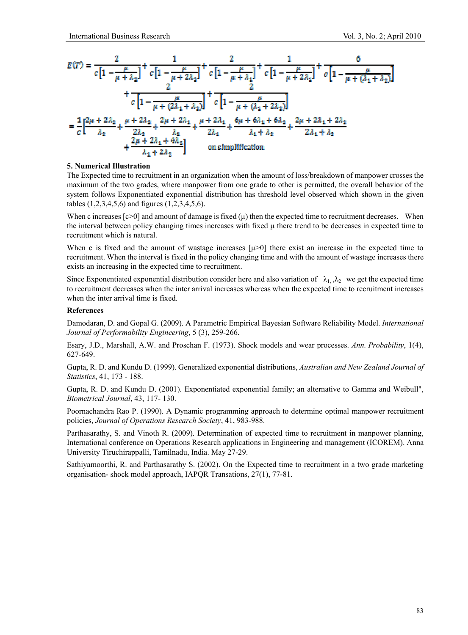

#### **5. Numerical Illustration**

The Expected time to recruitment in an organization when the amount of loss/breakdown of manpower crosses the maximum of the two grades, where manpower from one grade to other is permitted, the overall behavior of the system follows Exponentiated exponential distribution has threshold level observed which shown in the given tables (1,2,3,4,5,6) and figures (1,2,3,4,5,6).

When c increases  $[c>0]$  and amount of damage is fixed  $(\mu)$  then the expected time to recruitment decreases. When the interval between policy changing times increases with fixed µ there trend to be decreases in expected time to recruitment which is natural.

When c is fixed and the amount of wastage increases  $[\mu>0]$  there exist an increase in the expected time to recruitment. When the interval is fixed in the policy changing time and with the amount of wastage increases there exists an increasing in the expected time to recruitment.

Since Exponentiated exponential distribution consider here and also variation of  $\lambda_1$ ,  $\lambda_2$  we get the expected time to recruitment decreases when the inter arrival increases whereas when the expected time to recruitment increases when the inter arrival time is fixed.

#### **References**

Damodaran, D. and Gopal G. (2009). A Parametric Empirical Bayesian Software Reliability Model. *International Journal of Performability Engineering*, 5 (3), 259-266.

Esary, J.D., Marshall, A.W. and Proschan F. (1973). Shock models and wear processes. *Ann. Probability*, 1(4), 627-649.

Gupta, R. D. and Kundu D. (1999). Generalized exponential distributions, *Australian and New Zealand Journal of Statistics*, 41, 173 - 188.

Gupta, R. D. and Kundu D. (2001). Exponentiated exponential family; an alternative to Gamma and Weibull", *Biometrical Journal*, 43, 117- 130.

Poornachandra Rao P. (1990). A Dynamic programming approach to determine optimal manpower recruitment policies, *Journal of Operations Research Society*, 41, 983-988.

Parthasarathy, S. and Vinoth R. (2009). Determination of expected time to recruitment in manpower planning, International conference on Operations Research applications in Engineering and management (ICOREM). Anna University Tiruchirappalli, Tamilnadu, India. May 27-29.

Sathiyamoorthi, R. and Parthasarathy S. (2002). On the Expected time to recruitment in a two grade marketing organisation- shock model approach, IAPQR Transations, 27(1), 77-81.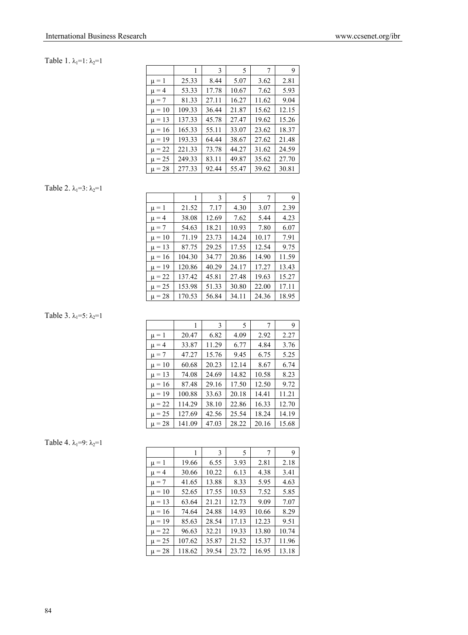## Table 1.  $\lambda_1=1$ :  $\lambda_2=1$

|            | 1      | 3     | 5     | 7     | 9     |
|------------|--------|-------|-------|-------|-------|
| $\mu = 1$  | 25.33  | 8.44  | 5.07  | 3.62  | 2.81  |
| $\mu = 4$  | 53.33  | 17.78 | 10.67 | 7.62  | 5.93  |
| $\mu = 7$  | 81.33  | 27.11 | 16.27 | 11.62 | 9.04  |
| $\mu = 10$ | 109.33 | 36.44 | 21.87 | 15.62 | 12.15 |
| $\mu = 13$ | 137.33 | 45.78 | 27.47 | 19.62 | 15.26 |
| $\mu = 16$ | 165.33 | 55.11 | 33.07 | 23.62 | 18.37 |
| $\mu = 19$ | 193.33 | 64.44 | 38.67 | 27.62 | 21.48 |
| $\mu = 22$ | 221.33 | 73.78 | 44.27 | 31.62 | 24.59 |
| $\mu = 25$ | 249.33 | 83.11 | 49.87 | 35.62 | 27.70 |
| $\mu = 28$ | 277.33 | 92.44 | 55.47 | 39.62 | 30.81 |

## Table 2.  $\lambda_1=3$ :  $\lambda_2=1$

|            | 1      | 3     | 5     | 7     | 9     |
|------------|--------|-------|-------|-------|-------|
| $\mu = 1$  | 21.52  | 7.17  | 4.30  | 3.07  | 2.39  |
| $\mu = 4$  | 38.08  | 12.69 | 7.62  | 5.44  | 4.23  |
| $\mu = 7$  | 54.63  | 18.21 | 10.93 | 7.80  | 6.07  |
| $\mu = 10$ | 71.19  | 23.73 | 14.24 | 10.17 | 7.91  |
| $\mu = 13$ | 87.75  | 29.25 | 17.55 | 12.54 | 9.75  |
| $\mu = 16$ | 104.30 | 34.77 | 20.86 | 14.90 | 11.59 |
| $\mu = 19$ | 120.86 | 40.29 | 24.17 | 17.27 | 13.43 |
| $\mu = 22$ | 137.42 | 45.81 | 27.48 | 19.63 | 15.27 |
| $\mu = 25$ | 153.98 | 51.33 | 30.80 | 22.00 | 17.11 |
| $\mu = 28$ | 170.53 | 56.84 | 34.11 | 24.36 | 18.95 |

## Table 3.  $\lambda_1 = 5$ :  $\lambda_2 = 1$

|            |        | 3     | 5     | 7     | 9     |
|------------|--------|-------|-------|-------|-------|
| $\mu = 1$  | 20.47  | 6.82  | 4.09  | 2.92  | 2.27  |
| $\mu = 4$  | 33.87  | 11.29 | 6.77  | 4.84  | 3.76  |
| $\mu = 7$  | 47.27  | 15.76 | 9.45  | 6.75  | 5.25  |
| $\mu = 10$ | 60.68  | 20.23 | 12.14 | 8.67  | 6.74  |
| $\mu = 13$ | 74.08  | 24.69 | 14.82 | 10.58 | 8.23  |
| $\mu = 16$ | 87.48  | 29.16 | 17.50 | 12.50 | 9.72  |
| $\mu = 19$ | 100.88 | 33.63 | 20.18 | 14.41 | 11.21 |
| $\mu = 22$ | 114.29 | 38.10 | 22.86 | 16.33 | 12.70 |
| $\mu = 25$ | 127.69 | 42.56 | 25.54 | 18.24 | 14.19 |
| $\mu = 28$ | 141.09 | 47.03 | 28.22 | 20.16 | 15.68 |

## Table 4.  $\lambda_1=9$ :  $\lambda_2=1$

|            |        | 3     | 5     | 7     | 9     |
|------------|--------|-------|-------|-------|-------|
| $\mu = 1$  | 19.66  | 6.55  | 3.93  | 2.81  | 2.18  |
| $\mu = 4$  | 30.66  | 10.22 | 6.13  | 4.38  | 3.41  |
| $\mu = 7$  | 41.65  | 13.88 | 8.33  | 5.95  | 4.63  |
| $\mu = 10$ | 52.65  | 17.55 | 10.53 | 7.52  | 5.85  |
| $\mu = 13$ | 63.64  | 21.21 | 12.73 | 9.09  | 7.07  |
| $\mu = 16$ | 74.64  | 24.88 | 14.93 | 10.66 | 8.29  |
| $\mu = 19$ | 85.63  | 28.54 | 17.13 | 12.23 | 9.51  |
| $\mu = 22$ | 96.63  | 32.21 | 19.33 | 13.80 | 10.74 |
| $\mu = 25$ | 107.62 | 35.87 | 21.52 | 15.37 | 11.96 |
| $\mu = 28$ | 118.62 | 39.54 | 23.72 | 16.95 | 13.18 |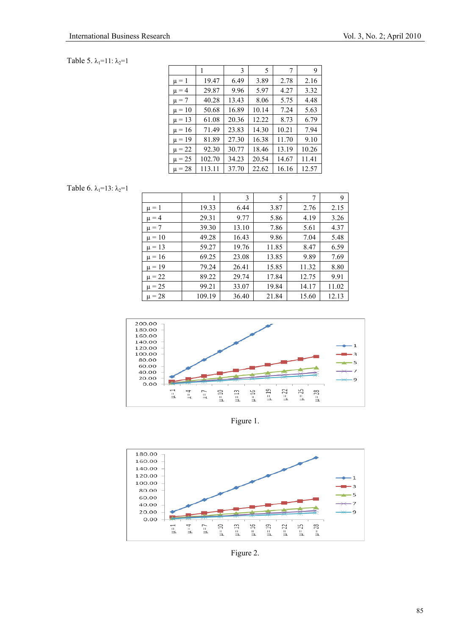## Table 5.  $\lambda_1=11$ :  $\lambda_2=1$

|            |        | 3     | 5     | 7     | 9     |
|------------|--------|-------|-------|-------|-------|
| $\mu = 1$  | 19.47  | 6.49  | 3.89  | 2.78  | 2.16  |
| $\mu = 4$  | 29.87  | 9.96  | 5.97  | 4.27  | 3.32  |
| $\mu = 7$  | 40.28  | 13.43 | 8.06  | 5.75  | 4.48  |
| $\mu = 10$ | 50.68  | 16.89 | 10.14 | 7.24  | 5.63  |
| $\mu = 13$ | 61.08  | 20.36 | 12.22 | 8.73  | 6.79  |
| $\mu = 16$ | 71.49  | 23.83 | 14.30 | 10.21 | 7.94  |
| $\mu = 19$ | 81.89  | 27.30 | 16.38 | 11.70 | 9.10  |
| $\mu = 22$ | 92.30  | 30.77 | 18.46 | 13.19 | 10.26 |
| $\mu = 25$ | 102.70 | 34.23 | 20.54 | 14.67 | 11.41 |
| $\mu = 28$ | 113.11 | 37.70 | 22.62 | 16.16 | 12.57 |

Table 6.  $\lambda_1=13$ :  $\lambda_2=1$ 

|            | 1      | 3     | 5     | 7     | 9     |
|------------|--------|-------|-------|-------|-------|
| $\mu = 1$  | 19.33  | 6.44  | 3.87  | 2.76  | 2.15  |
| $\mu = 4$  | 29.31  | 9.77  | 5.86  | 4.19  | 3.26  |
| $\mu = 7$  | 39.30  | 13.10 | 7.86  | 5.61  | 4.37  |
| $\mu = 10$ | 49.28  | 16.43 | 9.86  | 7.04  | 5.48  |
| $\mu = 13$ | 59.27  | 19.76 | 11.85 | 8.47  | 6.59  |
| $\mu = 16$ | 69.25  | 23.08 | 13.85 | 9.89  | 7.69  |
| $\mu = 19$ | 79.24  | 26.41 | 15.85 | 11.32 | 8.80  |
| $\mu = 22$ | 89.22  | 29.74 | 17.84 | 12.75 | 9.91  |
| $\mu = 25$ | 99.21  | 33.07 | 19.84 | 14.17 | 11.02 |
| $\mu = 28$ | 109.19 | 36.40 | 21.84 | 15.60 | 12.13 |



Figure 1.



Figure 2.